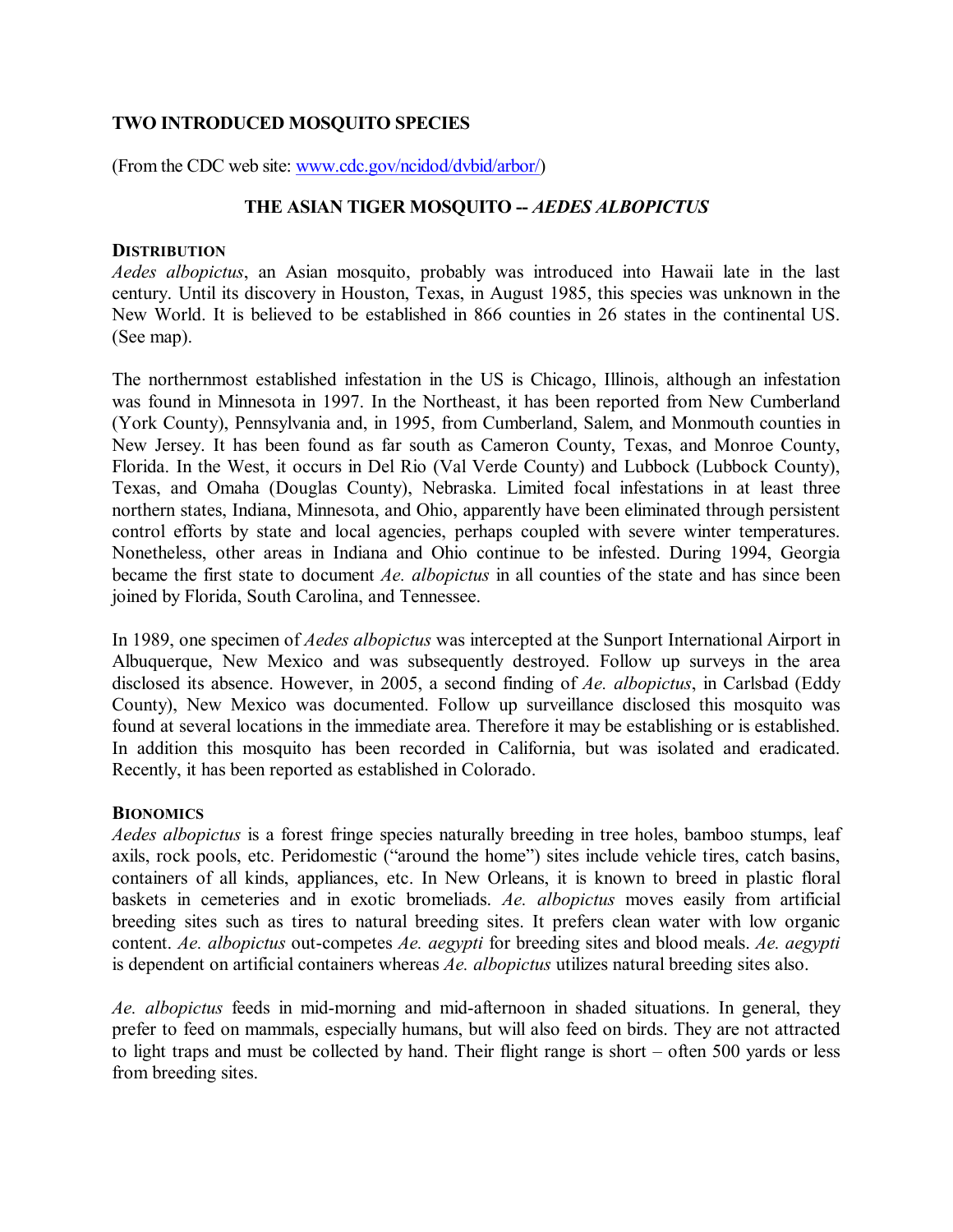# **TWO INTRODUCED MOSQUITO SPECIES**

(From the CDC web site: [www.cdc.gov/ncidod/dvbid/arbor/\)](http://www.cdc.gov/ncidod/dvbid/arbor/)

# **THE ASIAN TIGER MOSQUITO** *AEDES ALBOPICTUS*

#### **DISTRIBUTION**

*Aedes albopictus*, an Asian mosquito, probably was introduced into Hawaii late in the last century. Until its discovery in Houston, Texas, in August 1985, this species was unknown in the New World. It is believed to be established in 866 counties in 26 states in the continental US. (See map).

The northernmost established infestation in the US is Chicago, Illinois, although an infestation was found in Minnesota in 1997. In the Northeast, it has been reported from New Cumberland (York County), Pennsylvania and, in 1995, from Cumberland, Salem, and Monmouth counties in New Jersey. It has been found as far south as Cameron County, Texas, and Monroe County, Florida. In the West, it occurs in Del Rio (Val Verde County) and Lubbock (Lubbock County), Texas, and Omaha (Douglas County), Nebraska. Limited focal infestations in at least three northern states, Indiana, Minnesota, and Ohio, apparently have been eliminated through persistent control efforts by state and local agencies, perhaps coupled with severe winter temperatures. Nonetheless, other areas in Indiana and Ohio continue to be infested. During 1994, Georgia became the first state to document *Ae. albopictus* in all counties of the state and has since been joined by Florida, South Carolina, and Tennessee.

In 1989, one specimen of *Aedes albopictus* was intercepted at the Sunport International Airport in Albuquerque, New Mexico and was subsequently destroyed. Follow up surveys in the area disclosed its absence. However, in 2005, a second finding of *Ae. albopictus*, in Carlsbad (Eddy County), New Mexico was documented. Follow up surveillance disclosed this mosquito was found at several locations in the immediate area. Therefore it may be establishing or is established. In addition this mosquito has been recorded in California, but was isolated and eradicated. Recently, it has been reported as established in Colorado.

## **BIONOMICS**

*Aedes albopictus* is a forest fringe species naturally breeding in tree holes, bamboo stumps, leaf axils, rock pools, etc. Peridomestic ("around the home") sites include vehicle tires, catch basins, containers of all kinds, appliances, etc. In New Orleans, it is known to breed in plastic floral baskets in cemeteries and in exotic bromeliads. *Ae. albopictus* moves easily from artificial breeding sites such as tires to natural breeding sites. It prefers clean water with low organic content. *Ae. albopictus* out-competes *Ae. aegypti* for breeding sites and blood meals. *Ae. aegypti* is dependent on artificial containers whereas *Ae. albopictus* utilizes natural breeding sites also.

*Ae. albopictus* feeds in mid-morning and mid-afternoon in shaded situations. In general, they prefer to feed on mammals, especially humans, but will also feed on birds. They are not attracted to light traps and must be collected by hand. Their flight range is short – often 500 yards or less from breeding sites.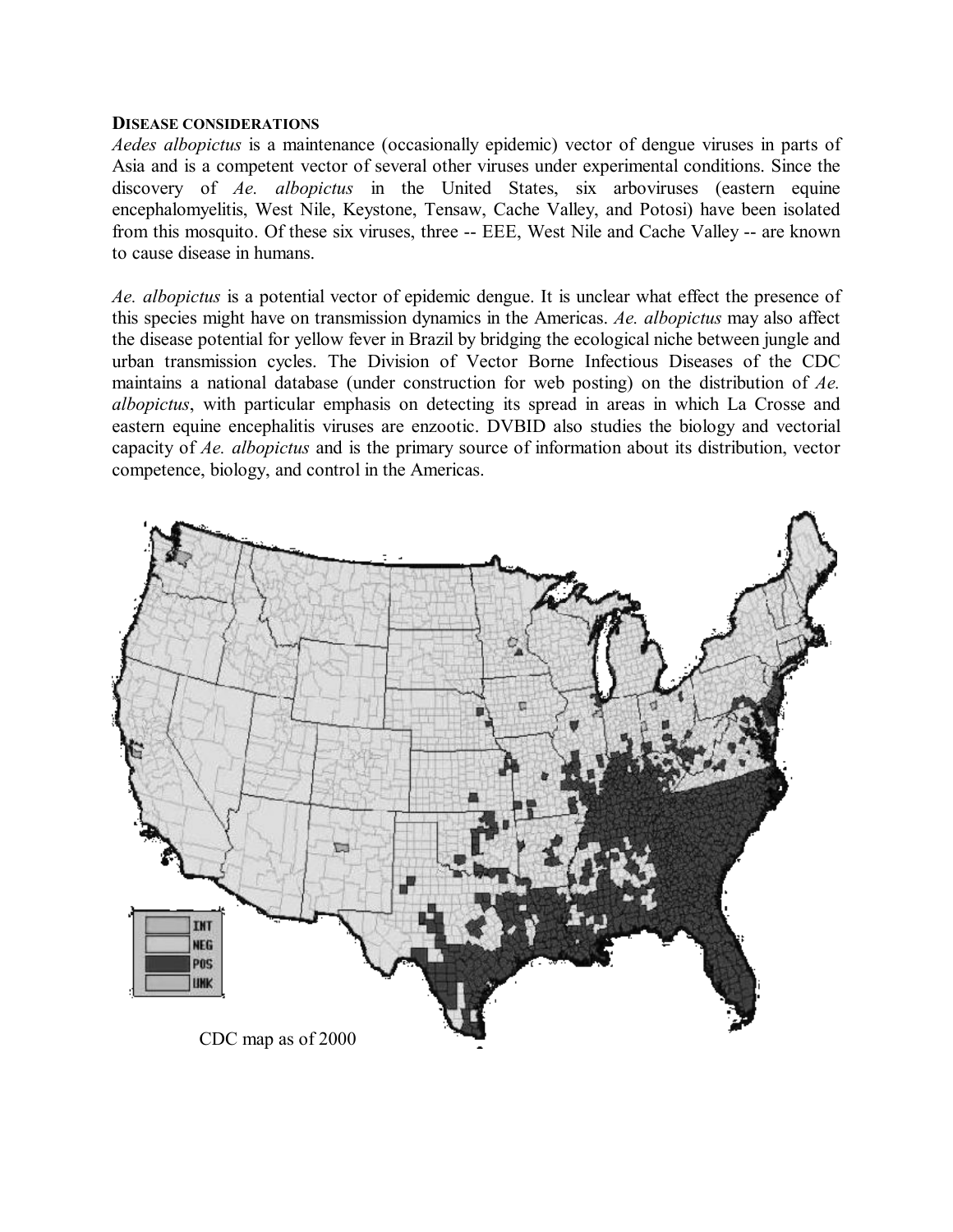#### **DISEASE CONSIDERATIONS**

*Aedes albopictus* is a maintenance (occasionally epidemic) vector of dengue viruses in parts of Asia and is a competent vector of several other viruses under experimental conditions. Since the discovery of *Ae. albopictus* in the United States, six arboviruses (eastern equine encephalomyelitis, West Nile, Keystone, Tensaw, Cache Valley, and Potosi) have been isolated from this mosquito. Of these six viruses, three -- EEE, West Nile and Cache Valley -- are known to cause disease in humans.

*Ae. albopictus* is a potential vector of epidemic dengue. It is unclear what effect the presence of this species might have on transmission dynamics in the Americas. *Ae. albopictus* may also affect the disease potential for yellow fever in Brazil by bridging the ecological niche between jungle and urban transmission cycles. The Division of Vector Borne Infectious Diseases of the CDC maintains a national database (under construction for web posting) on the distribution of *Ae. albopictus*, with particular emphasis on detecting its spread in areas in which La Crosse and eastern equine encephalitis viruses are enzootic. DVBID also studies the biology and vectorial capacity of *Ae. albopictus* and is the primary source of information about its distribution, vector competence, biology, and control in the Americas.

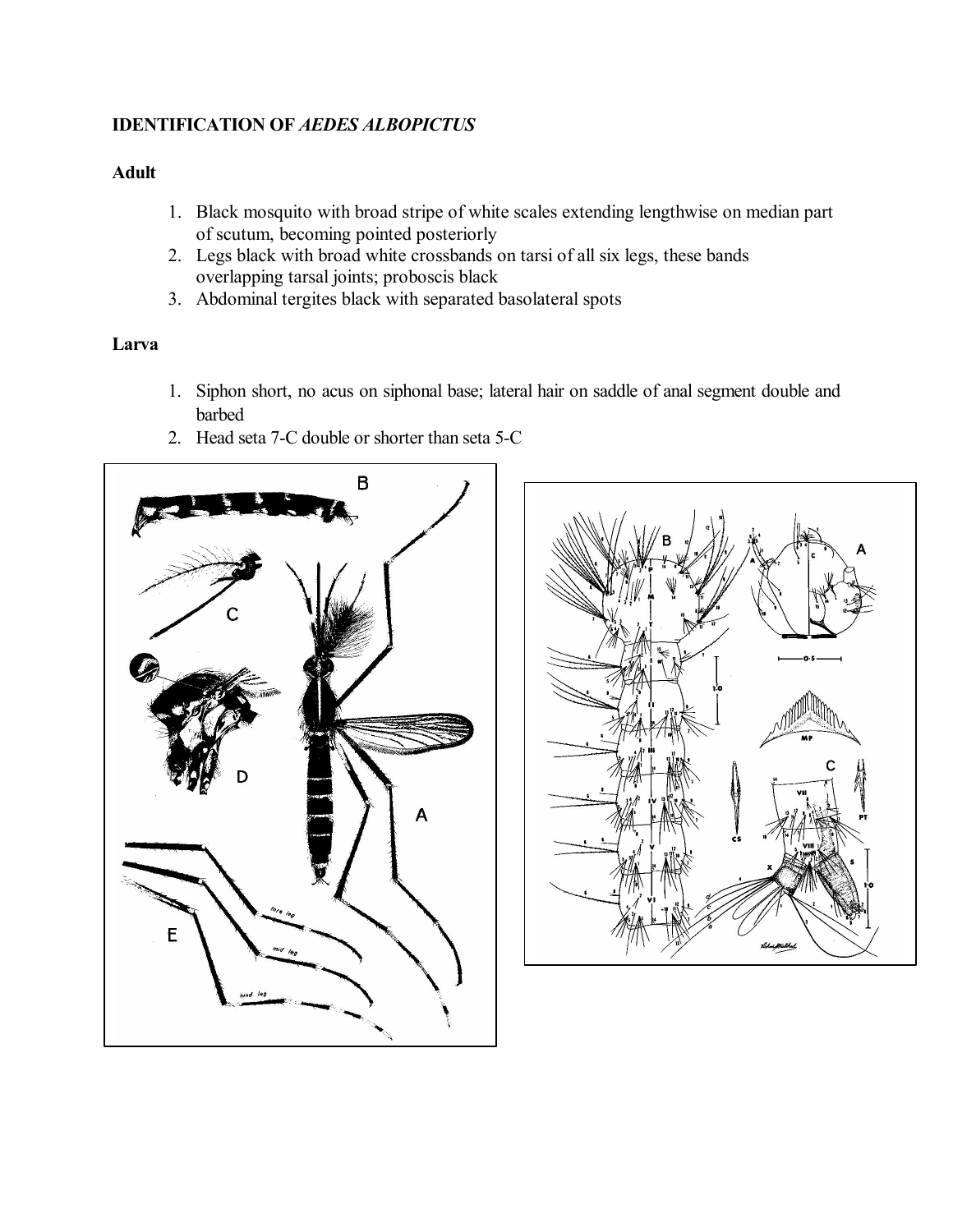# **IDENTIFICATION OF** *AEDES ALBOPICTUS*

# **Adult**

- 1. Black mosquito with broad stripe of white scales extending lengthwise on median part of scutum, becoming pointed posteriorly
- 2. Legs black with broad white crossbands on tarsi of all six legs, these bands overlapping tarsal joints; proboscis black
- 3. Abdominal tergites black with separated basolateral spots

# **Larva**

- 1. Siphon short, no acus on siphonal base; lateral hair on saddle of anal segment double and barbed
- 2. Head seta 7-C double or shorter than seta 5-C